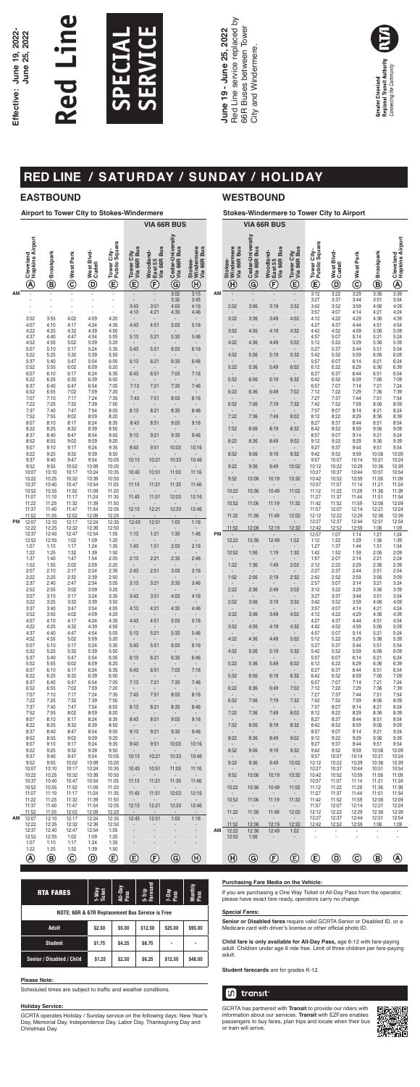

# **Purchasing Fare Media on the Vehicle:**

If you are purchasing a One Way Ticket or All-Day Pass from the operator, please have exact fare ready, operators carry no change.

# **Special Fares:**

**Senior or Disabled fares** require valid GCRTA Senior or Disabled ID, or a Medicare card with driver's license or other official photo ID.

**Child fare is only available for All-Day Pass,** age 6-12 with fare-paying adult. Children under age 6 ride free. Limit of three children per fare-paying adult.

**Student farecards** are for grades K-12.

# **in** transit

GCRTA has partnered with **Transit** to provide our riders with information about our services. **Transit** with EZFare enables passengers to buy fares, plan trips and locate when their bus or train will arrive.



| <b>RTA FARES</b>                                | 1-Way<br>Ticket | All-Day<br>Pass | 5-Trip<br>Farecard | 7-Day<br>Pass | Monthly<br>Pass |  |  |  |  |  |  |
|-------------------------------------------------|-----------------|-----------------|--------------------|---------------|-----------------|--|--|--|--|--|--|
| NOTE: 66R & 67R Replacement Bus Service is Free |                 |                 |                    |               |                 |  |  |  |  |  |  |
| Adult                                           | \$2.50          | \$5.00          | \$12.50            | \$25.00       | \$95.00         |  |  |  |  |  |  |
| <b>Student</b>                                  | \$1.75          | \$4.25          | \$8.75             |               |                 |  |  |  |  |  |  |
| <b>Senior / Disabled / Child</b>                | \$1.25          | \$2.50          | \$6.25             | \$12.50       | \$48.00         |  |  |  |  |  |  |

Red Line service replaced by Red Line service replaced by<br>66R Buses between Tower<br>City and Windermere. 66R Buses between Tower **June 19 - June 25, 2022**  June 19 - June 25, 2022 City and Windermere.





# **RED LINE / SATURDAY / SUNDAY / HOLIDAY**

# **EASTBOUND WESTBOUND**

# **Airport to Tower City to Stokes-Windermere Stokes-Windermere to Tower City to Airport**

|    |                              |                        |                        |                                  |                                            |                                  | VIA 66R BUS                        |                                   |                                      |           |                                        |                                   | VIA 66R BUS                         |                                   |                              |                      |                        |                |                              |
|----|------------------------------|------------------------|------------------------|----------------------------------|--------------------------------------------|----------------------------------|------------------------------------|-----------------------------------|--------------------------------------|-----------|----------------------------------------|-----------------------------------|-------------------------------------|-----------------------------------|------------------------------|----------------------|------------------------|----------------|------------------------------|
|    |                              |                        |                        |                                  |                                            |                                  |                                    |                                   |                                      |           |                                        |                                   |                                     |                                   |                              |                      |                        |                |                              |
|    | Cleveland<br>Hopkins Airport | Brookpark              | West Park              | West Blvd-<br>Cudell             | Tower City-<br>Public Square               | Tower City<br>Via 66R Bus        | Via 66R Bus<br>Woodland<br>East 55 | Cedar-University<br>Via 66R Bus   | Stokes-<br>Windermere<br>Via 66R Bus |           | Stokes-<br>Windermere<br>Via 66R Bus   | Cedar-University<br>Via 66R Bus   | Via 66R Bus<br>Woodland-<br>East 55 | Tower City<br>Via 66R Bus         | Tower City-<br>Public Square | West Blvd-<br>Cudell | <b>West Park</b>       | Brookpark      | Cleveland<br>Hopkins Airport |
|    | $\bigcircledB$               | $\mathbf{\widehat{B}}$ | $\widehat{\mathbf{C}}$ | $^\copyright$                    | $\mathop{\mathsf{E}}$                      | $\mathop{\mathsf{E}}$            | $\widehat{\mathsf{F}}$             | $\mathbf{\widehat{G}}$            | $\hspace{.1cm} \oplus \hspace{.1cm}$ |           | $\hspace{0.1cm} \oplus \hspace{0.1cm}$ | $\mathbf{\widehat{G}}$            | $\mathop{\mathsf{E}}$               | $\mathop{\mathsf{E}}$             | $\mathop{\mathsf{E}}$        | $^\copyright$        | $\widehat{\mathbf{C}}$ | $^\circledR$   | $\circledast$                |
| ΑМ |                              | ä,                     |                        | $\overline{\phantom{a}}$         | $\qquad \qquad \blacksquare$               | $\overline{\phantom{a}}$         | $\blacksquare$                     | 3:02<br>3:32                      | 3:15<br>3:45                         | AM        |                                        | ÷                                 |                                     |                                   | 3:12<br>3:27                 | 3:22<br>3:37         | 3:29<br>3:44           | 3:36<br>3:51   | 3:39<br>3:54                 |
|    |                              | $\blacksquare$         | $\sim$                 | $\overline{a}$<br>$\blacksquare$ | $\overline{\phantom{a}}$<br>$\blacksquare$ | 3:43<br>4:13                     | 3:51<br>4:21                       | 4:03<br>4:33                      | 4:16<br>4:46                         |           | 2:52<br>$\overline{\phantom{a}}$       | 3:06<br>$\blacksquare$            | 3:19<br>$\blacksquare$              | 3:32<br>$\blacksquare$            | 3:42<br>3:57                 | 3:52<br>4:07         | 3:59<br>4:14           | 4:06<br>4:21   | 4:09<br>4:24                 |
|    | 3:52<br>4:07                 | 3:55<br>4:10           | 4:02<br>4:17           | 4:09<br>4:24                     | 4:20<br>4:35                               | $\overline{\phantom{a}}$<br>4:43 | $\overline{\phantom{a}}$<br>4:51   | $\overline{\phantom{a}}$<br>5:03  | $\blacksquare$<br>5:16               |           | 3:22                                   | 3:36<br>$\blacksquare$            | 3:49                                | 4:02<br>$\blacksquare$            | 4:12<br>4:27                 | 4:22<br>4:37         | 4:29                   | 4:36<br>4:51   | 4:39                         |
|    | 4:22                         | 4:25                   | 4:32                   | 4:39                             | 4:50                                       | $\overline{\phantom{a}}$         | $\overline{\phantom{a}}$           |                                   | $\overline{\phantom{a}}$             |           | 3:52                                   | 4:06                              | 4:19                                | 4:32                              | 4:42                         | 4:52                 | 4:44<br>4:59           | 5:06           | 4:54<br>5:09                 |
|    | 4:37<br>4:52                 | 4:40<br>4:55           | 4:47<br>5:02           | 4:54<br>5:09                     | 5:05<br>5:20                               | 5:13<br>$\overline{\phantom{a}}$ | 5:21<br>$\blacksquare$             | 5:33<br>$\overline{\phantom{a}}$  | 5:46                                 |           | 4:22                                   | $\overline{\phantom{a}}$<br>4:36  | 4:49                                | $\blacksquare$<br>5:02            | 4:57<br>5:12                 | 5:07<br>5:22         | 5:14<br>5:29           | 5:21<br>5:36   | 5:24<br>5:39                 |
|    | 5:07<br>5:22                 | 5:10<br>5:25           | 5:17<br>5:32           | 5:24<br>5:39                     | 5:35<br>5:50                               | 5:43<br>$\overline{\phantom{a}}$ | 5:51                               | 6:03                              | 6:16                                 |           | 4:52                                   | $\overline{\phantom{a}}$<br>5:06  | $\blacksquare$<br>5:19              | $\blacksquare$<br>5:32            | 5:27<br>5:42                 | 5:37<br>5:52         | 5:44<br>5:59           | 5:51<br>6:06   | 5:54<br>6:09                 |
|    | 5:37<br>5:52                 | 5:40<br>5:55           | 5:47<br>6:02           | 5:54<br>6:09                     | 6:05<br>6:20                               | 6:13<br>$\blacksquare$           | 6:21                               | 6:33<br>$\overline{\phantom{a}}$  | 6:46<br>$\blacksquare$               |           | 5:22                                   | ÷,<br>5:36                        | 5:49                                | $\blacksquare$<br>6:02            | 5:57<br>6:12                 | 6:07<br>6:22         | 6:14<br>6:29           | 6:21<br>6:36   | 6:24<br>6:39                 |
|    | 6:07                         | 6:10                   | 6:17                   | 6:24                             | 6:35                                       | 6:43                             | 6:51                               | 7:03                              | 7:16                                 |           |                                        | $\overline{\phantom{a}}$          |                                     | $\blacksquare$                    | 6:27                         | 6:37                 | 6:44                   | 6:51           | 6:54                         |
|    | 6:22<br>6:37                 | 6:25<br>6:40           | 6:32<br>6:47           | 6:39<br>6:54                     | 6:50<br>7:05                               | $\blacksquare$<br>7:13           | 7:21                               | $\overline{\phantom{a}}$<br>7:33  | $\blacksquare$<br>7:46               |           | 5:52                                   | 6:06<br>$\blacksquare$            | 6:19                                | 6:32<br>$\blacksquare$            | 6:42<br>6:57                 | 6:52<br>7:07         | 6:59<br>7:14           | 7:06<br>7:21   | 7:09<br>7:24                 |
|    | 6:52<br>7:07                 | 6:55<br>7:10           | 7:02<br>7:17           | 7:09<br>7:24                     | 7:20<br>7:35                               | $\blacksquare$<br>7:43           | $\overline{\phantom{a}}$<br>7:51   | $\overline{\phantom{a}}$<br>8:03  | $\blacksquare$<br>8:16               |           | 6:22                                   | 6:36<br>$\overline{\phantom{a}}$  | 6:49<br>$\blacksquare$              | 7:02<br>$\overline{\phantom{a}}$  | 7:12<br>7:27                 | 7:22<br>7:37         | 7:29<br>7:44           | 7:36<br>7:51   | 7:39<br>7:54                 |
|    | 7:22<br>7:37                 | 7:25<br>7:40           | 7:32<br>7:47           | 7:39<br>7:54                     | 7:50<br>8:05                               | $\blacksquare$<br>8:13           | 8:21                               | $\blacksquare$<br>8:33            | 8:46                                 |           | 6:52                                   | 7:06<br>$\overline{\phantom{a}}$  | 7:19<br>$\blacksquare$              | 7:32<br>$\overline{\phantom{a}}$  | 7:42<br>7:57                 | 7:52<br>8:07         | 7:59<br>8:14           | 8:06<br>8:21   | 8:09<br>8:24                 |
|    | 7:52<br>8:07                 | 7:55<br>8:10           | 8:02                   | 8:09<br>8:24                     | 8:20<br>8:35                               | $\blacksquare$<br>8:43           | 8:51                               | $\overline{\phantom{a}}$<br>9:03  | 9:16                                 |           | 7:22                                   | 7:36<br>$\blacksquare$            | 7:49                                | 8:02<br>$\blacksquare$            | 8:12<br>8:27                 | 8:22<br>8:37         | 8:29<br>8:44           | 8:36<br>8:51   | 8:39<br>8:54                 |
|    | 8:22                         | 8:25                   | 8:17<br>8:32           | 8:39                             | 8:50                                       | $\blacksquare$                   |                                    |                                   |                                      |           | 7:52                                   | 8:06                              | 8:19                                | 8:32                              | 8:42                         | 8:52                 | 8:59                   | 9:06           | 9:09                         |
|    | 8:37<br>8:52                 | 8:40<br>8:55           | 8:47<br>9:02           | 8:54<br>9:09                     | 9:05<br>9:20                               | 9:13<br>$\blacksquare$           | 9:21                               | 9:33                              | 9:46<br>$\blacksquare$               |           | 8:22                                   | $\blacksquare$<br>8:36            | 8:49                                | $\blacksquare$<br>9:02            | 8:57<br>9:12                 | 9:07<br>9:22         | 9:14<br>9:29           | 9:21<br>9:36   | 9:24<br>9:39                 |
|    | 9:07<br>9:22                 | 9:10<br>9:25           | 9:17<br>9:32           | 9:24<br>9:39                     | 9:35<br>9:50                               | 9:43<br>$\overline{\phantom{a}}$ | 9:51                               | 10:03<br>$\blacksquare$           | 10:16<br>$\blacksquare$              |           | 8:52                                   | $\overline{\phantom{a}}$<br>9:06  | 9:19                                | $\blacksquare$<br>9:32            | 9:27<br>9:42                 | 9:37<br>9:52         | 9:44<br>9:59           | 9:51<br>10:06  | 9:54<br>10:09                |
|    | 9:37<br>9:52                 | 9:40<br>9:55           | 9:47<br>10:02          | 9:54<br>10:09                    | 10:05<br>10:20                             | 10:13<br>$\blacksquare$          | 10:21                              | 10:33<br>$\overline{\phantom{a}}$ | 10:46<br>$\blacksquare$              |           | 9:22                                   | $\overline{\phantom{a}}$<br>9:36  | 9:49                                | 10:02                             | 9:57<br>10:12                | 10:07<br>10:22       | 10:14<br>10:29         | 10:21<br>10:36 | 10:24<br>10:39               |
|    | 10:07                        | 10:10<br>10:25         | 10:17<br>10:32         | 10:24<br>10:39                   | 10:35<br>10:50                             | 10:43<br>$\blacksquare$          | 10:51                              | 11:03<br>$\blacksquare$           | 11:16<br>$\blacksquare$              |           | 9:52                                   | 10:06                             | 10:19                               | $\blacksquare$<br>10:32           | 10:27<br>10:42               | 10:37                | 10:44                  | 10:51<br>11:06 | 10:54                        |
|    | 10:22<br>10:37               | 10:40                  | 10:47                  | 10:54                            | 11:05                                      | 11:13                            | 11:21                              | 11:33                             | 11:46                                |           |                                        |                                   |                                     | $\blacksquare$                    | 10:57                        | 10:52<br>11:07       | 10:59<br>11:14         | 11:21          | 11:09<br>11:24               |
|    | 10:52<br>11:07               | 10:55<br>11:10         | 11:02<br>11:17         | 11:09<br>11:24                   | 11:20<br>11:35                             | $\blacksquare$<br>11:43          | 11:51                              | $\blacksquare$<br>12:03           | $\blacksquare$<br>12:16              |           | 10:22                                  | 10:36                             | 10:49                               | 11:02<br>$\overline{\phantom{a}}$ | 11:12<br>11:27               | 11:22<br>11:37       | 11:29<br>11:44         | 11:36<br>11:51 | 11:39<br>11:54               |
|    | 11:22<br>11:37               | 11:25<br>11:40         | 11:32<br>11:47         | 11:39<br>11:54                   | 11:50<br>12:05                             | $\blacksquare$<br>12:13          | 12:21                              | $\overline{\phantom{a}}$<br>12:33 | $\overline{a}$<br>12:46              |           | 10:52                                  | 11:06                             | 11:19                               | 11:32                             | 11:42<br>11:57               | 11:52<br>12:07       | 11:59<br>12:14         | 12:06<br>12:21 | 12:09<br>12:24               |
| PМ | 11:52<br>12:07               | 11:55<br>12:10         | 12:02<br>12:17         | 12:09<br>12:24                   | 12:20<br>12:35                             | 12:43                            | 12:51                              | $\overline{\phantom{a}}$<br>1:03  | $\overline{\phantom{a}}$<br>1:16     |           | 11:22                                  | 11:36                             | 11:49                               | 12:02                             | 12:12<br>12:27               | 12:22<br>12:37       | 12:29<br>12:44         | 12:36<br>12:51 | 12:39<br>12:54               |
|    | 12:22                        | 12:25                  | 12:32                  | 12:39                            | 12:50                                      |                                  |                                    |                                   |                                      |           | 11:52                                  | 12:06                             | 12:19                               | 12:32                             | 12:42                        | 12:52                | 12:59                  | 1:06           | 1:09                         |
|    | 12:37<br>12:52               | 12:40<br>12:55         | 12:47<br>1:02          | 12:54<br>1:09                    | 1:05<br>1:20                               | 1:13<br>$\sim$                   | 1:21<br>$\overline{\phantom{a}}$   | 1:33<br>$\blacksquare$            | 1:46<br>$\overline{\phantom{a}}$     | <b>PM</b> | 12:22                                  | 12:36                             | 12:49                               | 1:02                              | 12:57<br>1:12                | 1:07<br>1:22         | 1:14<br>1:29           | 1:21<br>1:36   | 1:24<br>1:39                 |
|    | 1:07<br>1:22                 | 1:10<br>1:25           | 1:17<br>1:32           | 1:24<br>1:39                     | 1:35<br>1:50                               | 1:43<br>$\sim$                   | 1:51                               | 2:03<br>$\blacksquare$            | 2:16<br>$\overline{\phantom{a}}$     |           | 12:52                                  | $\overline{\phantom{a}}$<br>1:06  | $\blacksquare$<br>1:19              | $\overline{\phantom{a}}$<br>1:32  | 1:27<br>1:42                 | 1:37<br>1:52         | 1:44<br>1:59           | 1:51<br>2:06   | 1:54<br>2:09                 |
|    | 1:37<br>1:52                 | 1:40<br>1:55           | 1:47<br>2:02           | 1:54<br>2:09                     | 2:05<br>2:20                               | 2:13<br>$\sim$                   | 2:21<br>$\blacksquare$             | 2:33<br>$\blacksquare$            | 2:46<br>$\blacksquare$               |           | $\overline{\phantom{a}}$<br>1:22       | $\overline{\phantom{a}}$<br>1:36  | $\overline{\phantom{a}}$<br>1:49    | $\overline{\phantom{a}}$<br>2:02  | 1:57<br>2:12                 | 2:07<br>2:22         | 2:14<br>2:29           | 2:21<br>2:36   | 2:24<br>2:39                 |
|    | 2:07<br>2:22                 | 2:10<br>2:25           | 2:17<br>2:32           | 2:24<br>2:39                     | 2:35<br>2:50                               | 2:43<br>$\sim$                   | 2:51                               | 3:03<br>$\blacksquare$            | 3:16<br>$\blacksquare$               |           | $\overline{\phantom{a}}$<br>1:52       | $\overline{\phantom{a}}$<br>2:06  | $\blacksquare$<br>2:19              | $\overline{\phantom{a}}$<br>2:32  | 2:27<br>2:42                 | 2:37<br>2:52         | 2:44<br>2:59           | 2:51<br>3:06   | 2:54<br>3:09                 |
|    | 2:37<br>2:52                 | 2:40<br>2:55           | 2:47<br>3:02           | 2:54<br>3:09                     | 3:05<br>3:20                               | 3:13                             | 3:21<br>$\blacksquare$             | 3:33<br>$\sim$                    | 3:46<br>$\overline{\phantom{a}}$     |           | $\overline{\phantom{a}}$<br>2:22       | $\overline{\phantom{a}}$<br>2:36  | $\blacksquare$                      | $\overline{\phantom{a}}$<br>3:02  | 2:57<br>3:12                 | 3:07<br>3:22         | 3:14<br>3:29           | 3:21<br>3:36   | 3:24<br>3:39                 |
|    | 3:07                         | 3:10                   | 3:17                   | 3:24                             | 3:35                                       | $\sim$<br>3:43                   | 3:51                               | 4:03                              | 4:16                                 |           | $\overline{\phantom{a}}$               | $\overline{\phantom{a}}$          | 2:49<br>$\blacksquare$              | $\overline{\phantom{a}}$          | 3:27                         | 3:37                 | 3:44                   | 3:51           | 3:54                         |
|    | 3:22<br>3:37                 | 3:25<br>3:40           | 3:32<br>3:47           | 3:39<br>3:54                     | 3:50<br>4:05                               | $\sim$<br>4:13                   | 4:21                               | $\blacksquare$<br>4:33            | $\overline{\phantom{a}}$<br>4:46     |           | 2:52<br>$\overline{\phantom{a}}$       | 3:06<br>$\overline{\phantom{a}}$  | 3:19<br>$\overline{\phantom{a}}$    | 3:32<br>$\overline{\phantom{a}}$  | 3:42<br>3:57                 | 3:52<br>4:07         | 3:59<br>4:14           | 4:06<br>4:21   | 4:09<br>4:24                 |
|    | 3:52<br>4:07                 | 3:55<br>4:10           | 4:02<br>4:17           | 4:09<br>4:24                     | 4:20<br>4:35                               | $\sim$<br>4:43                   | 4:51                               | $\sim$<br>5:03                    | $\sim$<br>5:16                       |           | 3:22<br>$\overline{\phantom{a}}$       | 3:36<br>$\overline{\phantom{a}}$  | 3:49<br>$\overline{\phantom{a}}$    | 4:02<br>$\overline{\phantom{a}}$  | 4:12<br>4:27                 | 4:22<br>4:37         | 4:29<br>4:44           | 4:36<br>4:51   | 4:39<br>4:54                 |
|    | 4:22<br>4:37                 | 4:25<br>4:40           | 4:32<br>4:47           | 4:39<br>4:54                     | 4:50<br>5:05                               | $\sim$<br>5:13                   | 5:21                               | $\blacksquare$<br>5:33            | $\blacksquare$<br>5:46               |           | 3:52<br>$\overline{\phantom{a}}$       | 4:06<br>$\overline{\phantom{a}}$  | 4:19<br>$\overline{\phantom{a}}$    | 4:32<br>$\overline{\phantom{a}}$  | 4:42<br>4:57                 | 4:52<br>5:07         | 4:59<br>5:14           | 5:06<br>5:21   | 5:09<br>5:24                 |
|    | 4:52<br>5:07                 | 4:55<br>5:10           | 5:02<br>5:17           | 5:09<br>5:24                     | 5:20<br>5:35                               | $\sim$<br>5:43                   | $\blacksquare$<br>5:51             | $\sim$<br>6:03                    | $\sim$<br>6:16                       |           | 4:22<br>$\overline{\phantom{a}}$       | 4:36<br>$\overline{\phantom{a}}$  | 4:49<br>$\overline{\phantom{a}}$    | 5:02<br>$\overline{\phantom{a}}$  | 5:12<br>5:27                 | 5:22<br>5:37         | 5:29<br>5:44           | 5:36<br>5:51   | 5:39<br>5:54                 |
|    | 5:22                         | 5:25                   | 5:32                   | 5:39                             | 5:50                                       | $\sim$                           |                                    | $\blacksquare$                    |                                      |           | 4:52                                   | 5:06                              | 5:19                                | 5:32                              | 5:42                         | 5:52                 | 5:59                   | 6:06           | 6:09                         |
|    | 5:37<br>5:52                 | 5:40<br>5:55           | 5:47<br>6:02           | 5:54<br>6:09                     | 6:05<br>6:20                               | 6:13<br>$\sim$                   | 6:21                               | 6:33<br>$\sim$                    | 6:46<br>$\sim$                       |           | $\overline{\phantom{a}}$<br>5:22       | $\overline{\phantom{a}}$<br>5:36  | $\overline{\phantom{a}}$<br>5:49    | $\overline{\phantom{a}}$<br>6:02  | 5:57<br>6:12                 | 6:07<br>6:22         | 6:14<br>6:29           | 6:21<br>6:36   | 6:24<br>6:39                 |
|    | 6:07<br>6:22                 | 6:10<br>6:25           | 6:17<br>6:32           | 6:24<br>6:39                     | 6:35<br>6:50                               | 6:43<br>$\sim$                   | 6:51                               | 7:03<br>$\sim$                    | 7:16<br>$\sim$                       |           | $\overline{\phantom{a}}$<br>5:52       | $\overline{\phantom{a}}$<br>6:06  | $\overline{\phantom{a}}$<br>6:19    | $\overline{\phantom{a}}$<br>6:32  | 6:27<br>6:42                 | 6:37<br>6:52         | 6:44<br>6:59           | 6:51<br>7:06   | 6:54<br>7:09                 |
|    | 6:37<br>6:52                 | 6:40<br>6:55           | 6:47<br>7:02           | 6:54<br>7:09                     | 7:05<br>7:20                               | 7:13<br>$\sim$                   | 7:21<br>$\sim$                     | 7:33<br>$\sim$                    | 7:46<br>$\sim$                       |           | $\overline{\phantom{a}}$<br>6:22       | $\overline{\phantom{a}}$<br>6:36  | $\overline{\phantom{a}}$<br>6:49    | $\overline{\phantom{a}}$<br>7:02  | 6:57<br>7:12                 | 7:07<br>7:22         | 7:14<br>7:29           | 7:21<br>7:36   | 7:24<br>7:39                 |
|    | 7:07<br>7:22                 | 7:10<br>7:25           | 7:17<br>7:32           | 7:24<br>7:39                     | 7:35<br>7:50                               | 7:43<br>$\sim$                   | 7:51                               | 8:03<br>$\blacksquare$            | 8:16                                 |           | $\overline{\phantom{a}}$<br>6:52       | $\overline{\phantom{a}}$<br>7:06  | $\overline{\phantom{a}}$<br>7:19    | $\blacksquare$<br>7:32            | 7:27<br>7:42                 | 7:37<br>7:52         | 7:44<br>7:59           | 7:51<br>8:06   | 7:54<br>8:09                 |
|    | 7:37                         | 7:40                   | 7:47                   | 7:54                             | 8:05                                       | 8:13                             | 8:21                               | 8:33                              | 8:46                                 |           | $\overline{\phantom{a}}$               | $\overline{\phantom{a}}$          | $\overline{\phantom{a}}$            | $\overline{\phantom{a}}$          | 7:57                         | 8:07                 | 8:14                   | 8:21           | 8:24                         |
|    | 7:52<br>8:07                 | 7:55<br>8:10           | 8:02<br>8:17           | 8:09<br>8:24                     | 8:20<br>8:35                               | $\sim$<br>8:43                   | $\blacksquare$<br>8:51             | $\sim$<br>9:03                    | $\overline{\phantom{a}}$<br>9:16     |           | 7:22<br>$\overline{\phantom{a}}$       | 7:36<br>$\overline{\phantom{a}}$  | 7:49<br>$\overline{\phantom{a}}$    | 8:02<br>$\overline{\phantom{a}}$  | 8:12<br>8:27                 | 8:22<br>8:37         | 8:29<br>8:44           | 8:36<br>8:51   | 8:39<br>8:54                 |
|    | 8:22<br>8:37                 | 8:25<br>8:40           | 8:32<br>8:47           | 8:39<br>8:54                     | 8:50<br>9:05                               | $\sim$<br>9:13                   | 9:21                               | 9:33                              | 9:46                                 |           | 7:52<br>$\overline{\phantom{a}}$       | 8:06<br>$\overline{\phantom{a}}$  | 8:19<br>$\overline{\phantom{a}}$    | 8:32<br>$\overline{\phantom{a}}$  | 8:42<br>8:57                 | 8:52<br>9:07         | 8:59<br>9:14           | 9:06<br>9:21   | 9:09<br>9:24                 |
|    | 8:52<br>9:07                 | 8:55<br>9:10           | 9:02<br>9:17           | 9:09<br>9:24                     | 9:20<br>9:35                               | $\sim$<br>9:43                   | $\overline{\phantom{a}}$<br>9:51   | $\blacksquare$<br>10:03           | $\sim$<br>10:16                      |           | 8:22<br>$\overline{\phantom{a}}$       | 8:36<br>$\overline{\phantom{a}}$  | 8:49<br>$\overline{\phantom{a}}$    | 9:02<br>$\overline{\phantom{a}}$  | 9:12<br>9:27                 | 9:22<br>9:37         | 9:29<br>9:44           | 9:36<br>9:51   | 9:39<br>9:54                 |
|    | 9:22<br>9:37                 | 9:25<br>9:40           | 9:32<br>9:47           | 9:39<br>9:54                     | 9:50<br>10:05                              | $\sim$<br>10:13                  | 10:21                              | $\sim$<br>10:33                   | 10:46                                |           | 8:52<br>$\overline{\phantom{a}}$       | 9:06<br>$\overline{\phantom{a}}$  | 9:19<br>$\overline{\phantom{a}}$    | 9:32<br>$\overline{\phantom{a}}$  | 9:42<br>9:57                 | 9:52<br>10:07        | 9:59<br>10:14          | 10:06<br>10:21 | 10:09<br>10:24               |
|    | 9:52                         | 9:55                   | 10:02                  | 10:09                            | 10:20                                      | $\sim$                           | $\sim$                             | $\sim$                            | $\sim$                               |           | 9:22                                   | 9:36                              | 9:49                                | 10:02                             | 10:12                        | 10:22                | 10:29                  | 10:36          | 10:39                        |
|    | 10:07<br>10:22               | 10:10<br>10:25         | 10:17<br>10:32         | 10:24<br>10:39                   | 10:35<br>10:50                             | 10:43<br>$\sim$                  | 10:51<br>$\sim$                    | 11:03<br>$\sim$                   | 11:16<br>$\sim$                      |           | $\overline{\phantom{a}}$<br>9:52       | 10:06                             | 10:19                               | $\overline{\phantom{a}}$<br>10:32 | 10:27<br>10:42               | 10:37<br>10:52       | 10:44<br>10:59         | 10:51<br>11:06 | 10:54<br>11:09               |
|    | 10:37<br>10:52               | 10:40<br>10:55         | 10:47<br>11:02         | 10:54<br>11:09                   | 11:05<br>11:20                             | 11:13<br>$\sim$                  | 11:21<br>$\sim$                    | 11:33<br>$\sim$                   | 11:46<br>$\sim$                      |           | 10:22                                  | $\overline{\phantom{a}}$<br>10:36 | $\blacksquare$<br>10:49             | $\overline{\phantom{a}}$<br>11:02 | 10:57<br>11:12               | 11:07<br>11:22       | 11:14<br>11:29         | 11:21<br>11:36 | 11:24<br>11:39               |
|    | 11:07<br>11:22               | 11:10<br>11:25         | 11:17<br>11:32         | 11:24<br>11:39                   | 11:35<br>11:50                             | 11:43<br>$\sim$                  | 11:51<br>$\overline{\phantom{a}}$  | 12:03<br>$\sim$                   | 12:16                                |           | 10:52                                  | $\overline{\phantom{a}}$<br>11:06 | $\overline{\phantom{a}}$<br>11:19   | $\blacksquare$<br>11:32           | 11:27<br>11:42               | 11:37<br>11:52       | 11:44<br>11:59         | 11:51<br>12:06 | 11:54<br>12:09               |
|    | 11:37<br>11:52               | 11:40<br>11:55         | 11:47<br>12:02         | 11:54<br>12:09                   | 12:05<br>12:20                             | 12:13<br>$\sim$                  | 12:21<br>$\overline{\phantom{a}}$  | 12:33<br>$\sim$                   | 12:46<br>$\sim$                      |           | $\blacksquare$<br>11:22                | $\blacksquare$<br>11:36           | $\blacksquare$<br>11:49             | $\overline{\phantom{a}}$<br>12:02 | 11:57<br>12:12               | 12:07<br>12:22       | 12:14<br>12:29         | 12:21<br>12:36 | 12:24<br>12:39               |
| ΑM | 12:07                        | 12:10                  | 12:17                  | 12:24                            | 12:35                                      | 12:43                            | 12:51                              | 1:03                              | 1:16                                 |           | $\overline{\phantom{a}}$               | $\overline{\phantom{a}}$          | $\overline{\phantom{a}}$            | $\overline{\phantom{a}}$          | 12:27                        | 12:37                | 12:44                  | 12:51          | 12:54                        |
|    | 12:22<br>12:37               | 12:25<br>12:40         | 12:32<br>12:47         | 12:39<br>12:54                   | 12:50<br>1:05                              |                                  |                                    |                                   |                                      | ΑM        | 11:52<br>12:22                         | 12:06<br>12:36                    | 12:19<br>12:49                      | 12:32<br>1:02                     | 12:42                        | 12:52                | 12:59                  | 1:06           | 1:09                         |
|    | 12:52<br>1:07                | 12:55<br>1:10          | 1:02<br>1:17           | 1:09<br>1:24                     | 1:20<br>1:35                               |                                  |                                    |                                   |                                      |           | 12:52                                  | 1:06                              |                                     |                                   |                              |                      |                        |                |                              |
|    | 1:22                         | 1:25                   | 1:32                   | 1:39                             | 1:50                                       |                                  |                                    |                                   |                                      |           |                                        |                                   |                                     |                                   |                              |                      |                        |                |                              |
|    | $\circledA$                  | $^{\circledR}$         | $^\copyright$          | $^{\copyright}$                  | $^{\circledR}$                             | $\circledast$                    | $\left(\mathsf{F}\right)$          | $\circledcirc$                    | $\bigoplus$                          |           | $\circled{H}$                          | $\odot$                           | $\odot$                             | $\circled$                        | $\circledast$                | $\circledcirc$       | $\odot$                | $\circledcirc$ | $\circledA$                  |

### **Please Note:**

Scheduled times are subject to traffic and weather conditions.

### **Holiday Service:**

GCRTA operates Holiday / Sunday service on the following days: New Year's Day, Memorial Day, Independence Day, Labor Day, Thanksgiving Day and Christmas Day.